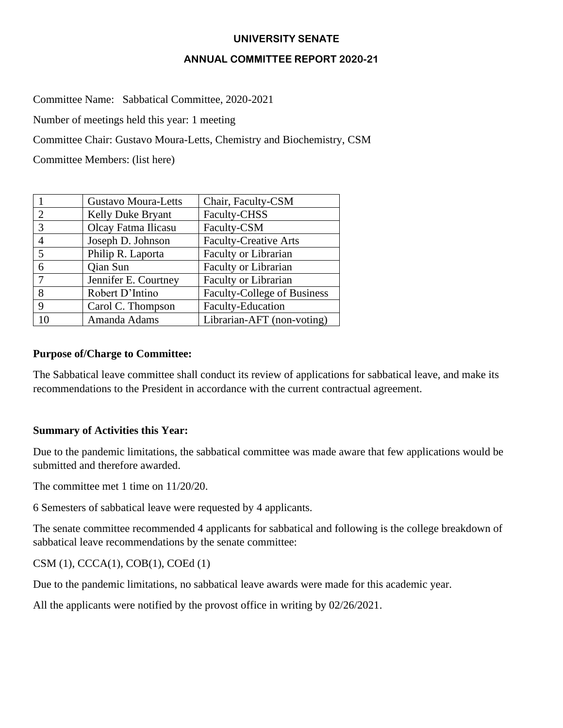# **UNIVERSITY SENATE**

#### **ANNUAL COMMITTEE REPORT 2020-21**

Committee Name: Sabbatical Committee, 2020-2021

Number of meetings held this year: 1 meeting

Committee Chair: Gustavo Moura-Letts, Chemistry and Biochemistry, CSM

Committee Members: (list here)

|    | <b>Gustavo Moura-Letts</b> | Chair, Faculty-CSM                 |
|----|----------------------------|------------------------------------|
| 2  | Kelly Duke Bryant          | Faculty-CHSS                       |
| 3  | Olcay Fatma Ilicasu        | Faculty-CSM                        |
|    | Joseph D. Johnson          | <b>Faculty-Creative Arts</b>       |
| 5  | Philip R. Laporta          | <b>Faculty or Librarian</b>        |
| 6  | <b>Qian Sun</b>            | Faculty or Librarian               |
|    | Jennifer E. Courtney       | Faculty or Librarian               |
| 8  | Robert D'Intino            | <b>Faculty-College of Business</b> |
| 9  | Carol C. Thompson          | Faculty-Education                  |
| 10 | Amanda Adams               | Librarian-AFT (non-voting)         |

#### **Purpose of/Charge to Committee:**

The Sabbatical leave committee shall conduct its review of applications for sabbatical leave, and make its recommendations to the President in accordance with the current contractual agreement.

# **Summary of Activities this Year:**

Due to the pandemic limitations, the sabbatical committee was made aware that few applications would be submitted and therefore awarded.

The committee met 1 time on 11/20/20.

6 Semesters of sabbatical leave were requested by 4 applicants.

The senate committee recommended 4 applicants for sabbatical and following is the college breakdown of sabbatical leave recommendations by the senate committee:

CSM (1), CCCA(1), COB(1), COEd (1)

Due to the pandemic limitations, no sabbatical leave awards were made for this academic year.

All the applicants were notified by the provost office in writing by 02/26/2021.